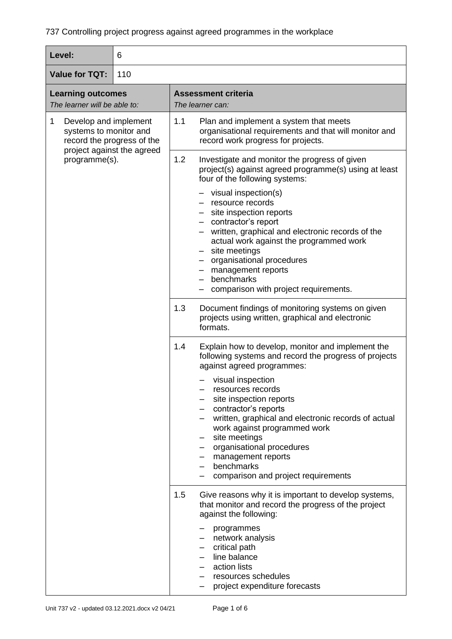| Level:                                                                                                                            | 6                                                                                                                                               |                                                                                                                                                                                                                                                                                                                                                                                                                                                              |  |
|-----------------------------------------------------------------------------------------------------------------------------------|-------------------------------------------------------------------------------------------------------------------------------------------------|--------------------------------------------------------------------------------------------------------------------------------------------------------------------------------------------------------------------------------------------------------------------------------------------------------------------------------------------------------------------------------------------------------------------------------------------------------------|--|
| <b>Value for TQT:</b><br>110                                                                                                      |                                                                                                                                                 |                                                                                                                                                                                                                                                                                                                                                                                                                                                              |  |
| <b>Learning outcomes</b><br>The learner will be able to:                                                                          |                                                                                                                                                 | <b>Assessment criteria</b><br>The learner can:                                                                                                                                                                                                                                                                                                                                                                                                               |  |
| Develop and implement<br>1<br>systems to monitor and<br>record the progress of the<br>project against the agreed<br>programme(s). | 1.1<br>Plan and implement a system that meets<br>organisational requirements and that will monitor and<br>record work progress for projects.    |                                                                                                                                                                                                                                                                                                                                                                                                                                                              |  |
|                                                                                                                                   | 1.2<br>Investigate and monitor the progress of given<br>project(s) against agreed programme(s) using at least<br>four of the following systems: |                                                                                                                                                                                                                                                                                                                                                                                                                                                              |  |
|                                                                                                                                   |                                                                                                                                                 | visual inspection(s)<br>- resource records<br>- site inspection reports<br>- contractor's report<br>- written, graphical and electronic records of the<br>actual work against the programmed work<br>- site meetings<br>- organisational procedures<br>management reports<br>benchmarks<br>comparison with project requirements.                                                                                                                             |  |
|                                                                                                                                   |                                                                                                                                                 | 1.3<br>Document findings of monitoring systems on given<br>projects using written, graphical and electronic<br>formats.                                                                                                                                                                                                                                                                                                                                      |  |
|                                                                                                                                   |                                                                                                                                                 | 1.4<br>Explain how to develop, monitor and implement the<br>following systems and record the progress of projects<br>against agreed programmes:<br>visual inspection<br>resources records<br>site inspection reports<br>contractor's reports<br>written, graphical and electronic records of actual<br>work against programmed work<br>site meetings<br>organisational procedures<br>management reports<br>benchmarks<br>comparison and project requirements |  |
|                                                                                                                                   |                                                                                                                                                 | 1.5<br>Give reasons why it is important to develop systems,<br>that monitor and record the progress of the project<br>against the following:<br>programmes<br>network analysis<br>critical path<br>line balance<br>action lists<br>resources schedules<br>project expenditure forecasts                                                                                                                                                                      |  |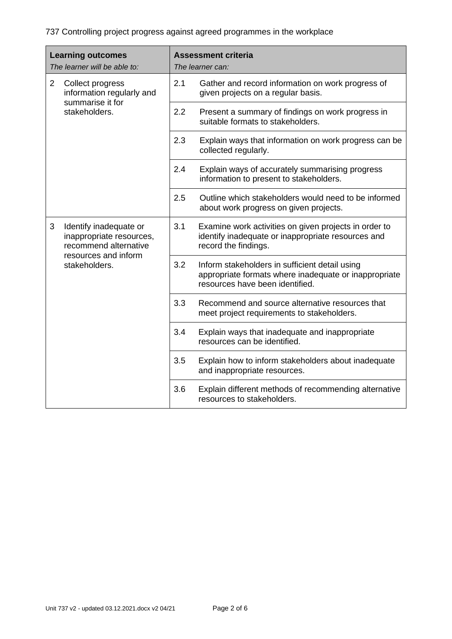| <b>Learning outcomes</b><br>The learner will be able to: |                                                                                                                      | <b>Assessment criteria</b><br>The learner can: |                                                                                                                                            |
|----------------------------------------------------------|----------------------------------------------------------------------------------------------------------------------|------------------------------------------------|--------------------------------------------------------------------------------------------------------------------------------------------|
| 2                                                        | Collect progress<br>information regularly and                                                                        | 2.1                                            | Gather and record information on work progress of<br>given projects on a regular basis.                                                    |
|                                                          | summarise it for<br>stakeholders.                                                                                    | 2.2                                            | Present a summary of findings on work progress in<br>suitable formats to stakeholders.                                                     |
|                                                          |                                                                                                                      | 2.3                                            | Explain ways that information on work progress can be<br>collected regularly.                                                              |
|                                                          |                                                                                                                      | 2.4                                            | Explain ways of accurately summarising progress<br>information to present to stakeholders.                                                 |
|                                                          |                                                                                                                      | 2.5                                            | Outline which stakeholders would need to be informed<br>about work progress on given projects.                                             |
| 3                                                        | Identify inadequate or<br>inappropriate resources,<br>recommend alternative<br>resources and inform<br>stakeholders. | 3.1                                            | Examine work activities on given projects in order to<br>identify inadequate or inappropriate resources and<br>record the findings.        |
|                                                          |                                                                                                                      | 3.2                                            | Inform stakeholders in sufficient detail using<br>appropriate formats where inadequate or inappropriate<br>resources have been identified. |
|                                                          |                                                                                                                      | 3.3                                            | Recommend and source alternative resources that<br>meet project requirements to stakeholders.                                              |
|                                                          |                                                                                                                      | 3.4                                            | Explain ways that inadequate and inappropriate<br>resources can be identified.                                                             |
|                                                          |                                                                                                                      | 3.5                                            | Explain how to inform stakeholders about inadequate<br>and inappropriate resources.                                                        |
|                                                          |                                                                                                                      | 3.6                                            | Explain different methods of recommending alternative<br>resources to stakeholders.                                                        |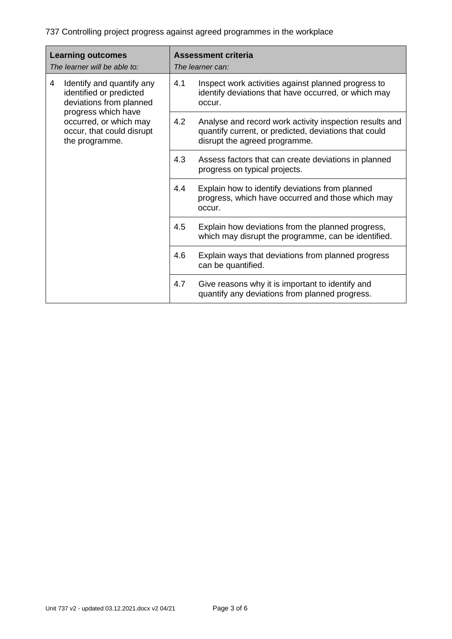| <b>Learning outcomes</b><br>The learner will be able to: |                                                                                              |     | <b>Assessment criteria</b><br>The learner can:                                                                                                    |
|----------------------------------------------------------|----------------------------------------------------------------------------------------------|-----|---------------------------------------------------------------------------------------------------------------------------------------------------|
| 4                                                        | Identify and quantify any<br>identified or predicted<br>deviations from planned              | 4.1 | Inspect work activities against planned progress to<br>identify deviations that have occurred, or which may<br>occur.                             |
|                                                          | progress which have<br>occurred, or which may<br>occur, that could disrupt<br>the programme. | 4.2 | Analyse and record work activity inspection results and<br>quantify current, or predicted, deviations that could<br>disrupt the agreed programme. |
|                                                          |                                                                                              | 4.3 | Assess factors that can create deviations in planned<br>progress on typical projects.                                                             |
|                                                          |                                                                                              | 4.4 | Explain how to identify deviations from planned<br>progress, which have occurred and those which may<br>occur.                                    |
|                                                          |                                                                                              | 4.5 | Explain how deviations from the planned progress,<br>which may disrupt the programme, can be identified.                                          |
|                                                          |                                                                                              | 4.6 | Explain ways that deviations from planned progress<br>can be quantified.                                                                          |
|                                                          |                                                                                              | 4.7 | Give reasons why it is important to identify and<br>quantify any deviations from planned progress.                                                |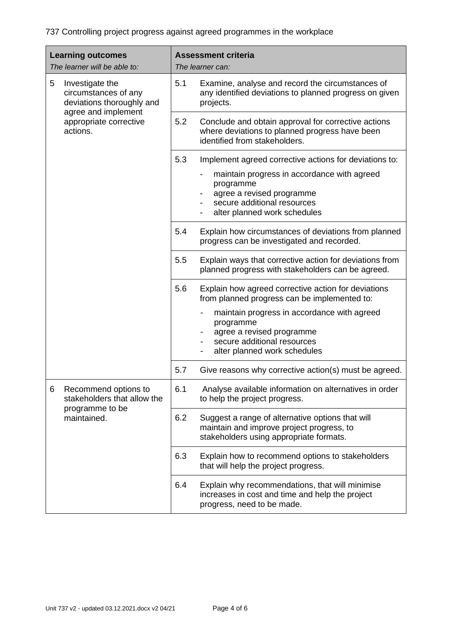| <b>Learning outcomes</b><br>The learner will be able to:                  | <b>Assessment criteria</b><br>The learner can:                                                                                                                                                                                                                     |
|---------------------------------------------------------------------------|--------------------------------------------------------------------------------------------------------------------------------------------------------------------------------------------------------------------------------------------------------------------|
| 5<br>Investigate the<br>circumstances of any<br>deviations thoroughly and | 5.1<br>Examine, analyse and record the circumstances of<br>any identified deviations to planned progress on given<br>projects.                                                                                                                                     |
| agree and implement<br>appropriate corrective<br>actions.                 | 5.2<br>Conclude and obtain approval for corrective actions<br>where deviations to planned progress have been<br>identified from stakeholders.                                                                                                                      |
|                                                                           | 5.3<br>Implement agreed corrective actions for deviations to:<br>maintain progress in accordance with agreed<br>programme<br>agree a revised programme<br>secure additional resources<br>alter planned work schedules                                              |
|                                                                           | 5.4<br>Explain how circumstances of deviations from planned<br>progress can be investigated and recorded.                                                                                                                                                          |
|                                                                           | 5.5<br>Explain ways that corrective action for deviations from<br>planned progress with stakeholders can be agreed.                                                                                                                                                |
|                                                                           | 5.6<br>Explain how agreed corrective action for deviations<br>from planned progress can be implemented to:<br>maintain progress in accordance with agreed<br>programme<br>agree a revised programme<br>secure additional resources<br>alter planned work schedules |
|                                                                           | 5.7<br>Give reasons why corrective action(s) must be agreed.                                                                                                                                                                                                       |
| Recommend options to<br>6<br>stakeholders that allow the                  | 6.1<br>Analyse available information on alternatives in order<br>to help the project progress.                                                                                                                                                                     |
| programme to be<br>maintained.                                            | 6.2<br>Suggest a range of alternative options that will<br>maintain and improve project progress, to<br>stakeholders using appropriate formats.                                                                                                                    |
|                                                                           | 6.3<br>Explain how to recommend options to stakeholders<br>that will help the project progress.                                                                                                                                                                    |
|                                                                           | 6.4<br>Explain why recommendations, that will minimise<br>increases in cost and time and help the project<br>progress, need to be made.                                                                                                                            |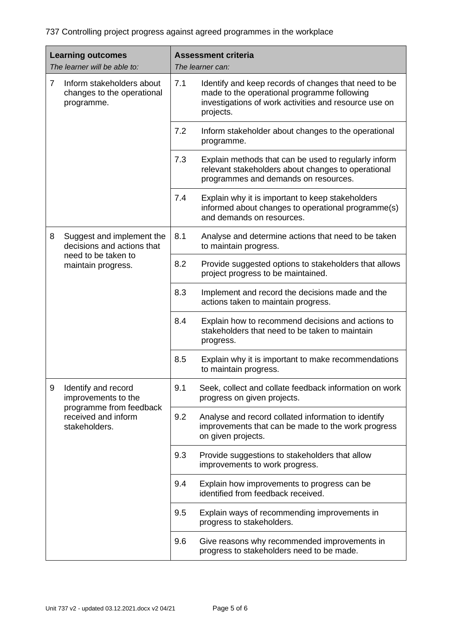| <b>Learning outcomes</b><br>The learner will be able to:                                | <b>Assessment criteria</b><br>The learner can:                                                                                                                                   |  |
|-----------------------------------------------------------------------------------------|----------------------------------------------------------------------------------------------------------------------------------------------------------------------------------|--|
| Inform stakeholders about<br>$\overline{7}$<br>changes to the operational<br>programme. | 7.1<br>Identify and keep records of changes that need to be<br>made to the operational programme following<br>investigations of work activities and resource use on<br>projects. |  |
|                                                                                         | 7.2<br>Inform stakeholder about changes to the operational<br>programme.                                                                                                         |  |
|                                                                                         | 7.3<br>Explain methods that can be used to regularly inform<br>relevant stakeholders about changes to operational<br>programmes and demands on resources.                        |  |
|                                                                                         | 7.4<br>Explain why it is important to keep stakeholders<br>informed about changes to operational programme(s)<br>and demands on resources.                                       |  |
| Suggest and implement the<br>8<br>decisions and actions that                            | 8.1<br>Analyse and determine actions that need to be taken<br>to maintain progress.                                                                                              |  |
| need to be taken to<br>maintain progress.                                               | 8.2<br>Provide suggested options to stakeholders that allows<br>project progress to be maintained.                                                                               |  |
|                                                                                         | 8.3<br>Implement and record the decisions made and the<br>actions taken to maintain progress.                                                                                    |  |
|                                                                                         | 8.4<br>Explain how to recommend decisions and actions to<br>stakeholders that need to be taken to maintain<br>progress.                                                          |  |
|                                                                                         | 8.5<br>Explain why it is important to make recommendations<br>to maintain progress.                                                                                              |  |
| 9<br>Identify and record<br>improvements to the                                         | 9.1<br>Seek, collect and collate feedback information on work<br>progress on given projects.                                                                                     |  |
| programme from feedback<br>received and inform<br>stakeholders.                         | 9.2<br>Analyse and record collated information to identify<br>improvements that can be made to the work progress<br>on given projects.                                           |  |
|                                                                                         | 9.3<br>Provide suggestions to stakeholders that allow<br>improvements to work progress.                                                                                          |  |
|                                                                                         | 9.4<br>Explain how improvements to progress can be<br>identified from feedback received.                                                                                         |  |
|                                                                                         | 9.5<br>Explain ways of recommending improvements in<br>progress to stakeholders.                                                                                                 |  |
|                                                                                         | 9.6<br>Give reasons why recommended improvements in<br>progress to stakeholders need to be made.                                                                                 |  |